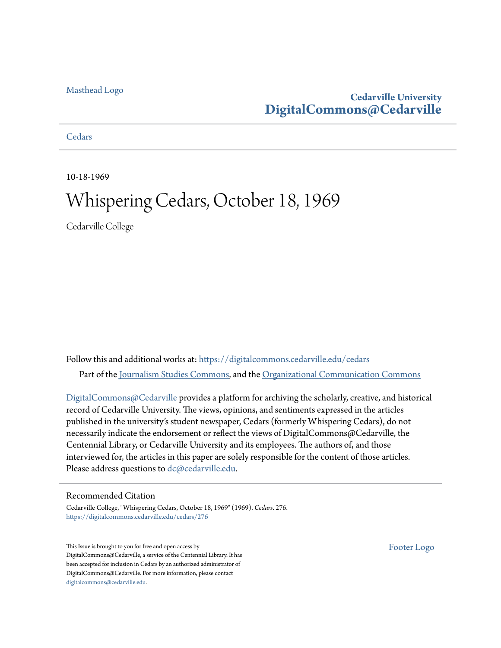### [Masthead Logo](http://www.cedarville.edu/?utm_source=digitalcommons.cedarville.edu%2Fcedars%2F276&utm_medium=PDF&utm_campaign=PDFCoverPages)

### **Cedarville University [DigitalCommons@Cedarville](https://digitalcommons.cedarville.edu?utm_source=digitalcommons.cedarville.edu%2Fcedars%2F276&utm_medium=PDF&utm_campaign=PDFCoverPages)**

**[Cedars](https://digitalcommons.cedarville.edu/cedars?utm_source=digitalcommons.cedarville.edu%2Fcedars%2F276&utm_medium=PDF&utm_campaign=PDFCoverPages)** 

10-18-1969

### Whispering Cedars, October 18, 1969

Cedarville College

Follow this and additional works at: [https://digitalcommons.cedarville.edu/cedars](https://digitalcommons.cedarville.edu/cedars?utm_source=digitalcommons.cedarville.edu%2Fcedars%2F276&utm_medium=PDF&utm_campaign=PDFCoverPages) Part of the [Journalism Studies Commons](http://network.bepress.com/hgg/discipline/333?utm_source=digitalcommons.cedarville.edu%2Fcedars%2F276&utm_medium=PDF&utm_campaign=PDFCoverPages), and the [Organizational Communication Commons](http://network.bepress.com/hgg/discipline/335?utm_source=digitalcommons.cedarville.edu%2Fcedars%2F276&utm_medium=PDF&utm_campaign=PDFCoverPages)

[DigitalCommons@Cedarville](http://digitalcommons.cedarville.edu/) provides a platform for archiving the scholarly, creative, and historical record of Cedarville University. The views, opinions, and sentiments expressed in the articles published in the university's student newspaper, Cedars (formerly Whispering Cedars), do not necessarily indicate the endorsement or reflect the views of DigitalCommons@Cedarville, the Centennial Library, or Cedarville University and its employees. The authors of, and those interviewed for, the articles in this paper are solely responsible for the content of those articles. Please address questions to [dc@cedarville.edu.](mailto:dc@cedarville.edu)

### Recommended Citation

Cedarville College, "Whispering Cedars, October 18, 1969" (1969). *Cedars*. 276. [https://digitalcommons.cedarville.edu/cedars/276](https://digitalcommons.cedarville.edu/cedars/276?utm_source=digitalcommons.cedarville.edu%2Fcedars%2F276&utm_medium=PDF&utm_campaign=PDFCoverPages)

This Issue is brought to you for free and open access by DigitalCommons@Cedarville, a service of the Centennial Library. It has been accepted for inclusion in Cedars by an authorized administrator of DigitalCommons@Cedarville. For more information, please contact [digitalcommons@cedarville.edu](mailto:digitalcommons@cedarville.edu).

[Footer Logo](http://www.cedarville.edu/Academics/Library.aspx?utm_source=digitalcommons.cedarville.edu%2Fcedars%2F276&utm_medium=PDF&utm_campaign=PDFCoverPages)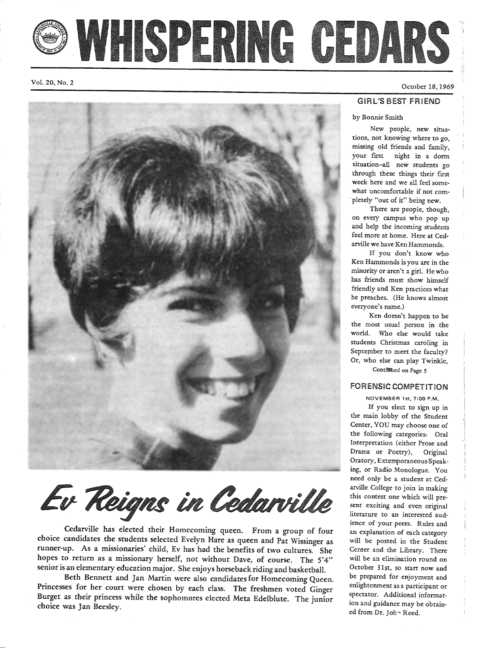# WHISPERING CEDARS

Vol. 20, No. 2

### GIRL'S BEST FRIEND

### by Bonnie Smith

New people, new situations, not knowing where to go, missing old friends and family, your first night in a dorm situation-all new students go through these things their first week here and we all feel somewhat uncomfortable if not com pletely "out of it" being new.

There are people, though, on every campus who pop up and help the incoming students feel more at home. Here at Cedarville we have Ken Hammonds.

If you don't know who Ken Hammonds is you are in the minority or aren't a girl. He who has friends must show himself friendly and Ken practices what he preaches. (He knows almost everyone's name.)

Ken doesn't happen to be the most usual person in the world. Who else would take students Christmas caroling in September to meet the faculty? Or, who else can play Twinkle,

ContiMied on Page *<sup>5</sup>*

### FORENSIC COMPETITION

NOVEMBER 1st, 7:00 P.M.

If you elect to sign up in the main lobby of the Student Center, YOU may choose one of the following categories: Oral Interpretation ( either Prose and Drama or Poetry), Original Oratory, ExtemporaneousSpeaking, or Radio Monologue. You need only be a student at Cedarville College to join in making this contest one which will present exciting and even original literature to an interested audience of your peers. Rules and an explanation of each category will be posted in the Student Center and the Library. There will be an elimination round on October 31st, so start now and be prepared for enjoyment and enlightenment as a participant or spectator. Additional information and guidance may be obtained from Dr. John Reed.

Ev Reigns in Cedarville

Cedarville has elected their Homecoming queen. From a group of four choice candidates the students selected Evelyn Hare as queen and Pat Wissinger as runner-up. As a missionaries' child, Ev has had the benefits of two cultures. She hopes to return as a missionary herself, not without Dave, of course. The 5'4" senior is an elementary education major. She enjoys horseback riding and basketball.

Beth Bennett and Jan Martin were also candidates for Homecoming Queen.<br>Princesses for her court were chosen by each class. The freshmen voted Ginger Burget as their princess while the sophomores elected Meta Edelblute. The junior choice was Jan Beesley.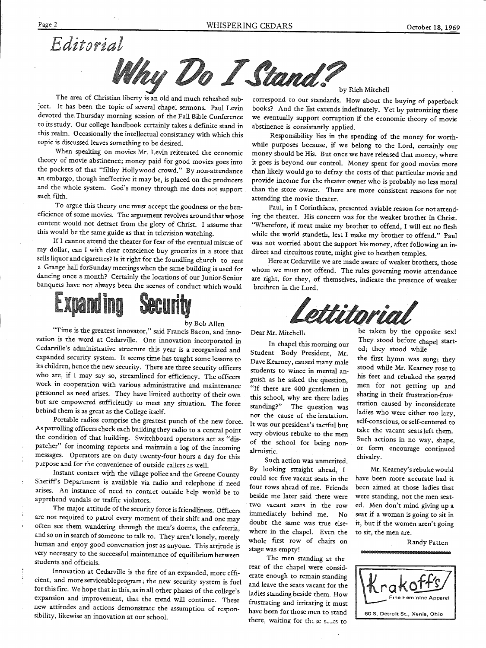



The area of Christian liberty is an old and much rehashed subject. It has been the topic of several chapel sermons. Paul Levin devoted the. Thursday morning session of the Fall Bible Conference to its study. Our college handbook certainly takes a definite stand in this realm. Occasionally the intellectual consistancy with which this topic is discussed leaves something to be desired.

When speaking on movies Mr. Levin reiterated the economic theory of movie abstinence; money paid for good movies goes into the pockets of that "filthy Hollywood crowd." By non-attendance an embargo, though ineffective it may be, is placed on the producers and the whole system. God's money through me does not support such filth.

To argue this theory one must accept the goodness or the beneficience of some movies. The arguement revolves around that whose content would not detract from the glory of Christ. I assume that this would be the same guide as that in television watching.

If I cannot attend the theater for fear of the eventual misuse of my dollar, can I with clear conscience buy groceries in a store that sells liquor and cigarettes? Is it right for the foundling church to rent a Grange hall forSundaymeetingswhen the same building is used for dancing once a month? Certainly the locations of our Junior-Senior banquets have not always been the scenes of conduct which would



#### by Bob Allen

"Time is the greatest innovator," said Francis Bacon, and innovation is the word at Cedarville. One innovation incorporated in Cedarville's administrative structure this year is a reorganized and expanded security system. It seems time has taught some lessons to its children, hence the new security. There are three security officers who are, if I may say so, streamlined for efficiency. The officers work in cooperation with various administrative and maintenance personnel as need arises. They have limited authority of their own but are empowered sufficiently to meet any situation. The force behind them is as great as the College itself.

Portable radios comprise the greatest punch of the new force. As patrolling officers check each building they radio to a central point the condition of that building. Switchboard operators act as "dispatcher" for incoming reports and maintain a log of the incoming messages. Operators are on duty twenty-four hours a day for this purpose and for the convenience of outside callers as well.

Instant contact with the village police and the Greene County Sheriff's Department is available via radio and telephone if need arises. An instance of need to contact outside help would be to apprehend vandals or traffic violators.

The major attitude of the security force is friendliness. Officers are not required to patrol every moment of their shift and one may often see them wandering through the men's dorms, the cafeteria, and so on in search of someone to talk to. They aren't lonely, merely human and enjoy good conversation just as anyone. This attitude is very necessary to the successful maintenance of equilibrium between students and officials.

Innovation at Cedarville is the fire of an expanded, more efficient, and more serviceable program; the new security system is fuel for this fire. We hope that in this, as in all other phases of the college's expansion and improvement, that the trend will continue. These new attitudes and actions demonstrate the assumption of responsibility, likewise an innovation at our school.

by Rich Mitchell

correspond to our standards. How about the buying of paperback books? And the list extends indefinately. Yet by patronizing these we eventually support corruption if the economic theory of movie abstinence is consistantly applied.

Responsibility lies in the spending of the money for worthwhile purposes because, if we belong to the Lord, certainly our money should be His. But once we have released that money, where it goes is beyond our control. Money spent for good movies more than likely would go to defray the costs of that particular movie and provide income for the theater owner who is probably no less moral than the store owner. There are more consistent reasons for not attending the movie theater.

Paul, in I Corinthians, presented a viable reason for not attending the theater. His concern was for the weaker brother in Christ. "Wherefore, if meat make my brother to offend, I will eat no flesh while the world standeth, lest I make my brother to offend." Paul was not worried about the support his money, after following an indirect and circuitous route, might give to heathen temples.

Here at Cedarville we are made aware of weaker brothers, those whom we must not offend. The rules governing movie attendance are right, for they, of themselves, indicate the presence of weaker brethren in the Lord.

ettitori

Dear Mr. Mitchell:

In chapel this morning our Student Body President, Mr. Dave Kearney, caused many male students to wince in mental anguish as he asked the question, "If there are 400 gentlemen in this school, why are there ladies standing?" The question was not the cause of the irratation. It was our president's tactful but very obvious rebuke to the men of the school for being nonaltruistic.

Such action was unmerited. By looking straight ahead, I could see five vacant seats in the four rows ahead of me. Friends beside me later said there were two. vacant seats in the row immediately behind me. No doubt the same was true elsewhere in the chapel. Even the whole first row of chairs on stage was empty!

The men standing at the rear of the chapel were considerate enough to remain standing and leave the seats vacant for the ladies standing beside them. How frustrating and irritating it must have been for those men to stand there, waiting for these sears to

be taken by the opposite sex! They stood before chapel started; they stood while

the first hymn was sung; they stood while Mr. Kearney rose to his feet and rebuked the seated men for not getting up and sharing in their frustration-frustration caused by inconsiderate ladies who were either too lazy, self-conscious, or self-centered to take the vacant seats left them. Such actions in no way, shape, or form encourage continued chivalry.

Mr. Kearney's rebuke would have been more accurate had it been aimed at those ladies that were standing, not the men seated. Men don't mind giving up <sup>a</sup> seat if <sup>a</sup>woman is going to sit in it, but if the women aren't going to sit, the men are.



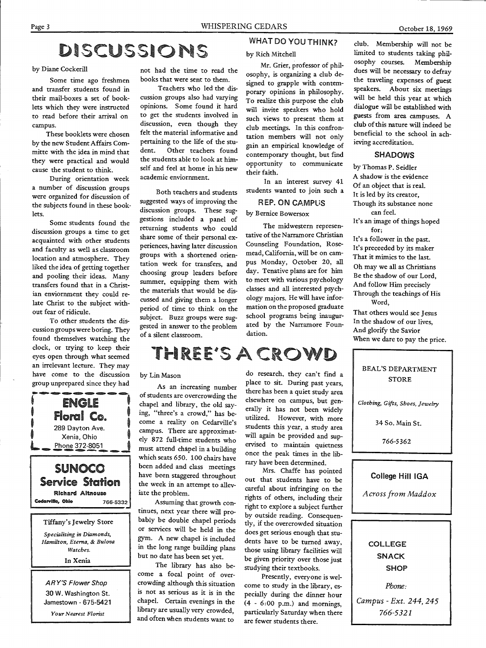## DISCUSSIONS

by Diane Cockerill

Some time ago freshmen and transfer students found in their mail-boxes a set of booklets which they were instructed to read before their arrival on campus.

These booklets were chosen by the new Student Affairs Committe with the idea in mind that they were practical and would cause the student to think.

During orientation week a number of discussion groups were organized for discussion of the subjects found in these booklets.

Some students found the discussion groups a time to ge<sup>t</sup> acquainted with other students and faculty as well as classroom location and atmosphere. They liked the idea of getting together and pooling their ideas. Many transfers found that in a Christian enviornment they could relate Christ to the subject without fear of ridicule.

To other students the discussion groups were boring. They found themselves watching the clock, or trying to keep their eyes open through what seemed an irrelevant lecture. They may have come to the discussion group unprepared since they had

**ENGLE** *:* Floral Co. t 289 Dayton Ave. Xenia, Ohio I Phone 372-8051

SUNOCO Service Station Richard Altnouse

Tiffany's Jewelry Store *Specializing in Diamonds, Hamilton, Eterna,* & *Bulova Watches.*  In Xenia

Cedarville, Ohio

ARY'S Flower Shop 30 W. Washington St. Jamestown - 675-5421 *Your Nearest Florist* 

766-5332

•

not had the time to read the books that were sent to them.

Teachers who led the discussion groups also had varying opinions. Some found it hard to get the students involved in discussion, even though they felt the material informative and pertaining to the life of the student. Other teachers found the students able to look at himself and feel at home in his new academic enviornment.

Both teachers and students suggested ways of improving the discussion groups. These suggestions included a panel of returning students who could share some of their personal experiences, having later discussion groups with a shortened orientation week for transfers, and choosing group leaders before summer, equipping them with the materials that would be discussed and giving them a longer period of time to think on the subject. Buzz groups were suggested in answer to the problem of a silent classroom.

### WHAT DO YOU THINK?

### by Rich Mitchell

Mr. Grier, professor of philosophy, is organizing a club designed to grapple with contemporary opinions in philosophy. To realize this purpose the club will invite speakers who hold such views to present them at club meetings. In this confrontation members will not only gain an empirical knowledge of contemporary thought, but find opportunity to communicate their faith.

In an interest survey 41 students wanted to join such a

### REP. ON CAMPUS by Bernice Bowersox

The midwestern representative of the Narramore Christian Counseling Foundation, Rosemead, California, will be on campus Monday, October 20, all day. Tenative plans are for him to meet with various psychology classes and all interested psychology majors. He will have information on the proposed graduate school programs being inaugurated by the Narramore Foundation.

### THREE'S A CROWD

### by Lin Mason

As an increasing number of students are overcrowding the chapel and library, the old saying, "three's a crowd," has become a reality on Cedarville's campus. There are approximately 872 full-time students who must attend chapel in a building which seats 650. 100 chairs have been added and class meetings have been staggered throughout the week in an attempt to alleviate the problem.

. Assuming that growth continues, next year there will probably be double chapel periods or services will be held in the gym. A new chapel is included in the long range building plans but no date has been set yet.

The library has also become a focal point of over crowding although this situation is not as serious as it is in the chapel. Certain evenings in the library are usually very crowded and often when students want to

do research, they can't find a place to sit. During past years, there has been a quiet study area elsewhere on campus, but generally it has not been widely utilized. However, with more students this year, a study area will again be provided and supervised to maintain quietness once the peak times in the library have been determined.

Mrs. Chaffe has pointed out that students have to be careful about infringing on the rights of others, including their right to explore a subject further by outside reading. Consequently, if the overcrowded situation does get serious enough that students have to be turned away, those using library facilities will be given priority over those just studying their textbooks.

Presently, everyone is welcome to study in the library, especially during the dinner hour  $(4 - 6:00 \text{ p.m.})$  and mornings, particularly Saturday when there are fewer students there.

club. Membership will not be limited to students taking philosophy courses. Membership dues will be necessary to defray the traveling expenses of guest speakers. About six meetings will be held this year at which dialogue will be established with guests from area campuses. A club of this nature will indeed be beneficial to the school in achieving accreditation.

### SHADOWS

by Thomas P. Seidler A shadow is the evidence Of an object that is real. It is led by its creator, Though its substance none can feel. It's an image of things hoped for; It's a follower in the past. It's preceeded by its maker That it mimics to the last. Oh may we all as Christians Be the shadow of our Lord And follow Him precisely ' Through the teachings of His Word,

That others would see Jesus In the shadow of our lives, And glorify the Savior When we dare to pay the price.

| BEAL'S DEPARTMENT<br><b>STORE</b>      |  |
|----------------------------------------|--|
| Clothing, Gifts, Shoes, Jewelry        |  |
| 34 So. Main St.                        |  |
| 766-5362                               |  |
|                                        |  |
| College Hill IGA<br>Across from Maddox |  |

COLLEGE SNACK **SHOP** 

*Phone:* 

*Campus* - *Ext. 244, 245 766-5321*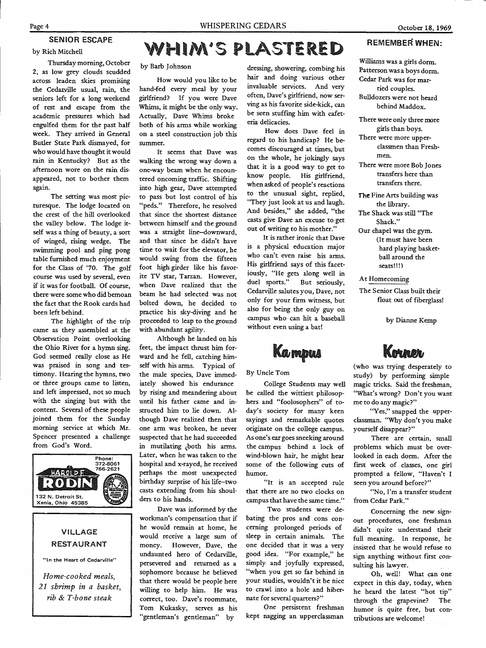October 18, 1969

### by Rich Mitchell

Thursday morning, October 2, as low grey clouds scudded across leaden skies promising the Cedaryille usual, rain, the seniors left for a long weekend of rest and escape from the academic pressures which had engulfed them for the past half week. They arrived in General Butler State Park dismayed, for who would have thought it would rain in Kentucky? But as the afternoon wore on the rain dis· appeared, not to bother them again.

SENIOR ESCAPE

The setting was most picturesque. The lodge located on the crest of the hill overlooked the valley below. The lodge itself was a thing of beauty, a sort of winged, rising wedge. The swimming pool and ping pong table furnished much enjoyment for the Class of '70. The golf course was used by several, even if it was for football. Of course, there were some who did bemoan the fact that the Rook cards had been left behind.

The highlight of the trip came as they assembled at the Observation Point overlooking the Ohio River for a hymn sing. God seemed really close as He was praised in song and testimony. Hearing the hymns, two or three groups came to listen, and left impressed, not so much with the singing but with the content. Several of these people joined them for the Sunday morning service at which Mr. Spencer presented a challenge from God's Word.



### VILLAGE RESTAURANT

"In the Heart of Cedarville"

*Home-cooked meals, 21 shrimp in a basket, rib* & *T-bone steak* 

# WHIM'S PLASTERED

by Barb Johnson

How would you like to be hand-fed every meal by your girlfriend? If you were Dave Whims, it might be the only way. Actually, Dave Whims broke both of his arms while working on a steel construction job this summer.

It seems that Dave was walking the wrong way down <sup>a</sup> one-way beam when he encountered oncoming traffic. Shifting into high gear, Dave attempted to pass but lost control of his "peds." Therefore, he resolved that since the shortest distance between himself and the ground was a straight line-downward, and that since he didn't have time to wait for the elevator, he would swing from the fifteen foot high girder like his favorite TV star, Tarzan. However, when Dave realized that the beam he had selected was not bolted down, he decided to practice his sky-diving and he proceeded to leap to the ground with abundant agility.

Although he landed on his feet, the impact thrust him forward and he fell, catching himself with his arms. Typical of the male species, Dave immediately showed his endurance by rising and meandering about until his father came and instructed him to lie down. Although Dave realized then that one arm was broken, he never suspected that he had succeeded in mutilating both his arms. Later, when he was taken to the hospital and x-rayed, he received perhaps the most unexpected birthday surprise of his life-two casts extending from his shoulders to his hands.

Dave was informed by the workman's compensation that if he would remain at home, he would receive a large sum of money. However, Dave, the undaunted hero of Cedarville, persevered and returned as a sophomore because he believed that there would be people here willing to help him. He was correct, too. Dave's roommate, Tom Kukasky, serves as his "gentleman's gentleman" by

dressing, showering, combing his hair and doing various other invaluable services. And very often, Dave's girlfriend, now serving as his favorite side-kick, can be seen stuffing him with cafeteria delicacies.

How does Dave feel in regard to his handicap? He becomes discouraged at times, but on the whole, he jokingly says that it is a good way to get to know people. His girlfriend, when asked of people's reactions to the unusual sight, replied, "They just look at us and laugh. And besides," she added, "the casts give Dave an excuse to ge<sup>t</sup> out of writing to his mother."

It is rather ironic that Dave is a physical education major who can't even raise his arms. His girlfriend says of this facetiously, "He gets along well in duel sports." But seriously, Cedarville salutes you, Dave, not only for your firm witness, but also for being the only guy on campus who can hit a baseball without even using a bat!

Kampus

By Uncle Tom

College Students may well be called the wittiest philosophers and "foolosophers" of today's society for many keen sayings and remarkable quotes originate on the college campus. As one's ear goes sneeking around the campus behind a lock of wind-blown hair, he might hear some of the following cuts of humor.

"It is an accepted rule that there are no two clocks on campus that have the same time."

Two students were debating the pros and cons concerning prolonged periods of sleep in certain animals. The one decided that it was a very good idea. "For example," he simply and joyfully expressed, "when you get so far behind in your studies, wouldn't it be nice to crawl into a hole and hibernate for several quarters?"

One persistent freshman kept nagging an upperclassman

### REMEMBER WHEN:

Williams was a girls dorm. Patterson was a boys dorm. Cedar Park was for married couples. Bulldozers were not heard

behind Maddox.

There were only three more girls than boys.

There were more upperclassmen than Freshmen.

There were more Bob Jones transfers here than transfers there.

The Fine Arts building was the library. The Shack was still "The

Shack."

Our chapel was the gym. (It must have been hard playing basketball around the seats!!!)

At Homecoming

The Senior Class built their float out of fiberglass!

by Dianne Kemp

### Kohman

(who was trying desperately to study) by performing simple magic tricks. Said the freshman, "What's wrong? Don't you want me to do any magic?"

"Yes," snapped the upperclassman. "Why don't you make yourself disappear?"

There are certain, small problems which must be overlooked in each dorm. After the first week of classes, one girl prompted a fellow, "Haven't I seen you around before?"

"No, I'm a transfer student from Cedar Park."

Concerning the new signout procedures, one freshman didn't quite understand their full meaning. In response, he insisted that he would refuse to sign anything without first consulting his lawyer.

Oh, well! What can one expect in this day, today, when he heard the latest "hot tip" through the grapevine? The humor is quite free, but contributions are welcome!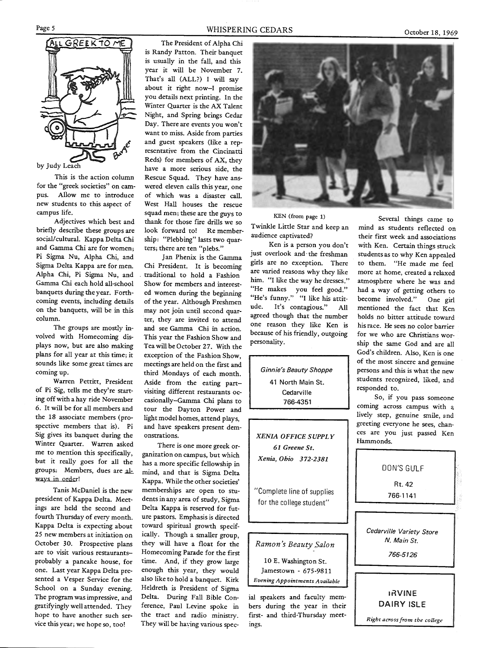

by Judy Leach

This is the action column for the "greek societies" on campus. Allow me to introduce new students to this aspect of campus life.

Adjectives which best and briefly describe these groups are social/cultural. Kappa Delta Chi and Gamma Chi are for women; Pi Sigma Nu, Alpha Chi, and Sigma Delta Kappa are for men. Alpha Chi, Pi Sigma Nu, and Gamma Chi each hold all-school banquets during the year. Forthcoming events, including details on the banquets, will be in this column.

The groups are mostly involved with Homecoming dis<sup>p</sup>lays now, but are also making plans for all year at this time; it sounds like some great times are coming up.

Warren Pettitt, President of Pi Sig, tells me they're starting off with a hay ride November 6. It will be for all members and the 18 associate members (prospective members that is). Pi Sig gives its banquet during the Winter Quarter. Warren asked me to mention this specifically, but it really goes for all the groups: Members, dues are always in order!

Tanis McDaniel is the new president of Kappa Delta. Meetings are held the second and fourth Thursday of every month. Kappa Delta is expecting about 25 new members at initiation on October 30. Prospective plans are to visit various restaurantsprobably a pancake house, for one. Last year Kappa Delta presented a Vesper Service for the School on a Sunday evening. The program was impressive, and gratifyingly well attended. They hope to have another such service this year; we hope so, too!

#### WHISPERING CEDARS

The President of Alpha Chi is Randy Patton. Their banquet is usually in the fall, and this year it will be November 7. That's all (ALL?) I will say about it right now-I promise you details next printing. In the Winter Quarter is the AX Talent Night, and Spring brings Cedar Day. There are events you won't want to miss. Aside from parties and guest speakers (like a representative from the Cincinatti Reds) for members of AX, they have a more serious side, the Rescue Squad. They have answered eleven calls this year, one of which was a disaster call. West Hall houses the rescue squad men; these are the guys to thank for those fire drills we so look forward to! Re membership: "Plebbing" lasts two quarters; there are ten "plebs."

Jan Phenix is the Gamma Chi President. It is becoming . traditional to hold a Fashion Show for members and interested women during the beginning of the year. Although Freshmen may not join until second quarter, they are invited to attend and see Gamma Chi in action. This year the Fashion Show and Tea will be October 27. With the exception of the Fashion Show, meetings are held on the first and third Mondays of each month. Aside from the eating partvisiting different restaurants occasionally-Gamma Chi plans to tour the Dayton Power and light model homes, attend plays, and have speakers present demonstrations.

There is one more greek organization on campus, but which has a more specific fellowship in mind, and that is Sigma Delta Kappa. While the other societies' memberships are open to students in any area of study, Sigma Delta Kappa is reserved for future pastors. Emphasis is directed toward spiritual growth specifically. Though a smaller group, they will have a float for the Homecoming Parade for the first time. And, if they grow large enough this year, they would also like to hold a banquet. Kirk Heldreth is President of Sigma Delta. During Fall Bible Conference, Paul Levine spoke in the tract and radio ministry. They will be having various spec-



KEN (from page 1)

Twinkle Little Star and keep an audience captivated? Ken is a person you don't

just overlook and· the freshman girls are no exception. There are varied reasons why they like him. "I like the way he dresses." "He makes you feel good." "He's funny." "I like his attit ude. It's contagious." All agreed though that the number one reason they like Ken is because of his friendly, outgoing personality.

> *Ginnie's Beauty Shoppe* 41 North Main St.<br>Cedarville<br>766-4351

*XENIA OFFICE SUPPLY 61 Greene St. Xenia, Ohio 372-2381* 

"Complete line of supplies for the college student"

*Ramon's Beauty Salon* 

10 E. Washington St. Jamestown - 675-9811 *Evening Appointments Available* 

ial speakers and faculty mem bers during the year in their first- and third-Thursday meet-

Furthele time at the company of the sected that is sent to the control of the control and the particular captivate?<br>
The control of the star particular caption and a students reflected on<br>
and inter the star and sected to